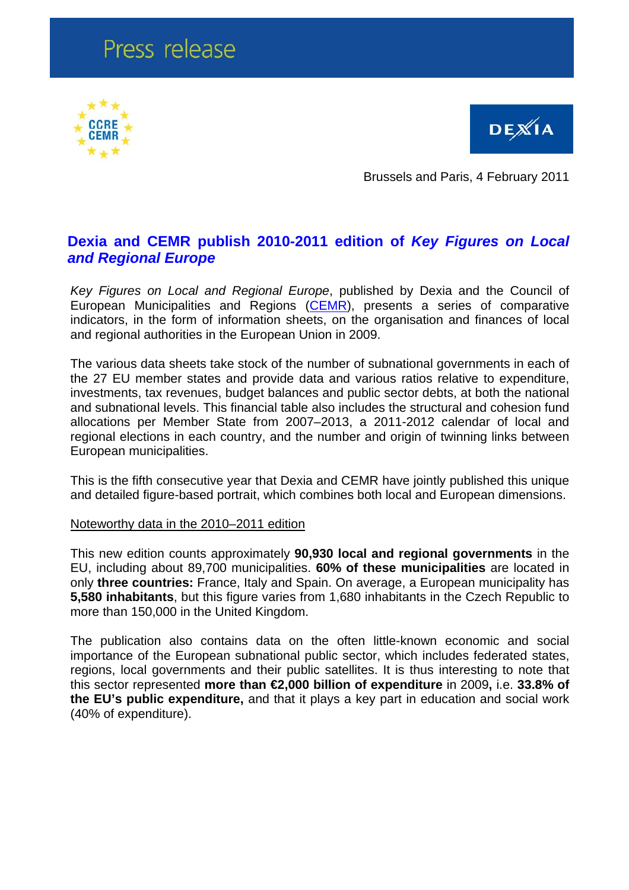# Press release





Brussels and Paris, 4 February 2011

## **Dexia and CEMR publish 2010-2011 edition of** *Key Figures on Local and Regional Europe*

*Key Figures on Local and Regional Europe*, published by Dexia and the Council of European Municipalities and Regions ([CEMR](http://www.ccre.org)), presents a series of comparative indicators, in the form of information sheets, on the organisation and finances of local and regional authorities in the European Union in 2009.

The various data sheets take stock of the number of subnational governments in each of the 27 EU member states and provide data and various ratios relative to expenditure, investments, tax revenues, budget balances and public sector debts, at both the national and subnational levels. This financial table also includes the structural and cohesion fund allocations per Member State from 2007–2013, a 2011-2012 calendar of local and regional elections in each country, and the number and origin of twinning links between European municipalities.

This is the fifth consecutive year that Dexia and CEMR have jointly published this unique and detailed figure-based portrait, which combines both local and European dimensions.

### Noteworthy data in the 2010–2011 edition

This new edition counts approximately **90,930 local and regional governments** in the EU, including about 89,700 municipalities. **60% of these municipalities** are located in only **three countries:** France, Italy and Spain. On average, a European municipality has **5,580 inhabitants**, but this figure varies from 1,680 inhabitants in the Czech Republic to more than 150,000 in the United Kingdom.

The publication also contains data on the often little-known economic and social importance of the European subnational public sector, which includes federated states, regions, local governments and their public satellites. It is thus interesting to note that this sector represented **more than €2,000 billion of expenditure** in 2009**,** i.e. **33.8% of the EU's public expenditure,** and that it plays a key part in education and social work (40% of expenditure).